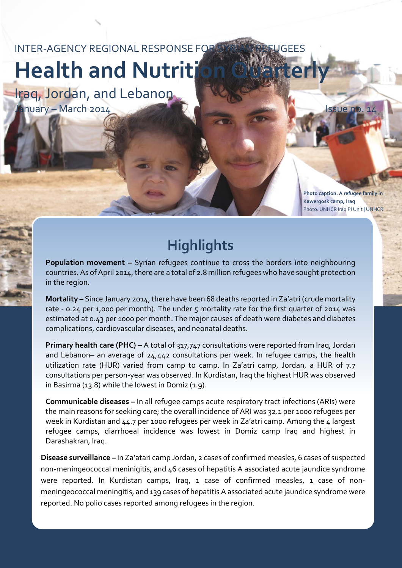# INTER-AGENCY REGIONAL RESPONSE FOR SYRIAN REFUGEES

# **Health and Nutriti**

Iraq, Jordan, and Lebanon **January – March 2014 Issue no.** 15 and 15 and 15 and 15 and 15 and 15 and 15 and 15 and 15 and 15 and 15 and 15 and 15 and 15 and 15 and 15 and 15 and 15 and 15 and 15 and 15 and 15 and 15 and 15 and 15 and 15 and 15 an

*Health and Nutrition Quarterly, January – March 2014*

**Photo caption. A refugee family in Kawergosk camp, Iraq** Photo: UNHCR Iraq PI Unit | UNHCR

# **Highlights**

**Population movement –** Syrian refugees continue to cross the borders into neighbouring countries. As of April 2014, there are a total of 2.8 million refugees who have sought protection in the region.

**Mortality –** Since January 2014, there have been 68 deaths reported in Za'atri (crude mortality rate - 0.24 per 1,000 per month). The under 5 mortality rate for the first quarter of 2014 was estimated at 0.43 per 1000 per month. The major causes of death were diabetes and diabetes complications, cardiovascular diseases, and neonatal deaths.

**Primary health care (PHC) –** A total of 317,747 consultations were reported from Iraq, Jordan and Lebanon– an average of 24,442 consultations per week. In refugee camps, the health utilization rate (HUR) varied from camp to camp. In Za'atri camp, Jordan, a HUR of 7.7 consultations per person-year was observed. In Kurdistan, Iraq the highest HUR was observed in Basirma (13.8) while the lowest in Domiz (1.9).

**Communicable diseases –** In all refugee camps acute respiratory tract infections (ARIs) were the main reasons for seeking care; the overall incidence of ARI was 32.1 per 1000 refugees per week in Kurdistan and  $44.7$  per 1000 refugees per week in Za'atri camp. Among the  $4$  largest refugee camps, diarrhoeal incidence was lowest in Domiz camp Iraq and highest in Darashakran, Iraq.

**Disease surveillance –** In Za'atari camp Jordan, 2 cases of confirmed measles, 6 cases of suspected non-meningeococcal meninigitis, and 46 cases of hepatitis A associated acute jaundice syndrome were reported. In Kurdistan camps, Iraq, 1 case of confirmed measles, 1 case of nonmeningeococcal meningitis, and 139 cases of hepatitis A associated acute jaundice syndrome were reported. No polio cases reported among refugees in the region.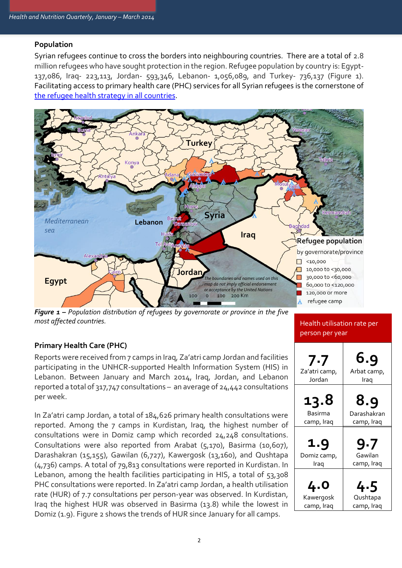#### **Population**

Syrian refugees continue to cross the borders into neighbouring countries. There are a total of 2.8 million refugees who have sought protection in the region. Refugee population by country is: Egypt-137,086, Iraq- 223,113, Jordan- 593,346, Lebanon- 1,056,089, and Turkey- 736,137 (Figure 1). Facilitating access to primary health care (PHC) services for all Syrian refugees is the cornerstone of [the refugee health strategy in all countries.](http://data.unhcr.org/syrianrefugees/download.php?id=5636)



*Figure 1 – Population distribution of refugees by governorate or province in the five most affected countries.* 

#### **Primary Health Care (PHC)**

Reports were received from 7 camps in Iraq, Za'atri camp Jordan and facilities participating in the UNHCR-supported Health Information System (HIS) in Lebanon. Between January and March 2014, Iraq, Jordan, and Lebanon reported a total of 317,747 consultations – an average of 24,442 consultations per week.

In Za'atri camp Jordan, a total of 184,626 primary health consultations were reported. Among the 7 camps in Kurdistan, Iraq, the highest number of consultations were in Domiz camp which recorded 24,248 consultations. Consultations were also reported from Arabat (5,170), Basirma (10,607), Darashakran (15,155), Gawilan (6,727), Kawergosk (13,160), and Qushtapa (4,736) camps. A total of 79,813 consultations were reported in Kurdistan. In Lebanon, among the health facilities participating in HIS, a total of 53,308 PHC consultations were reported. In Za'atri camp Jordan, a health utilisation rate (HUR) of 7.7 consultations per person-year was observed. In Kurdistan, Iraq the highest HUR was observed in Basirma (13.8) while the lowest in Domiz (1.9). Figure 2 shows the trends of HUR since January for all camps.

#### Health utilisation rate per person per year

| 7.7           | 6.9         |
|---------------|-------------|
| Za'atri camp, | Arbat camp, |
| Jordan        | Iraq        |
| 13.8          | 8.9         |
| Basirma       | Darashakran |
| camp, Iraq    | camp, Iraq  |
| 1.9           | 9.7         |
| Domiz camp,   | Gawilan     |
| Iraq          | camp, Iraq  |
| 4.0           | 4.5         |
| Kawergosk     | Qushtapa    |
| camp, Iraq    | camp, Iraq  |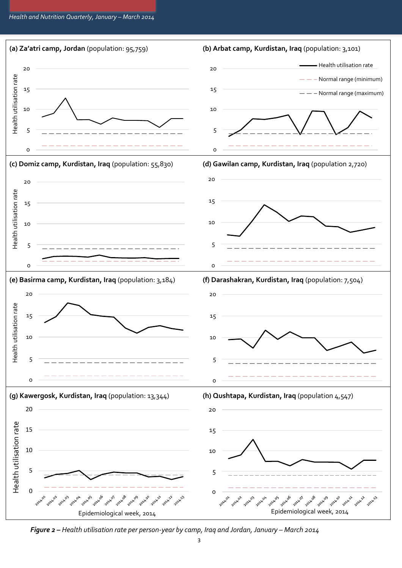



*Figure 2 – Health utilisation rate per person-year by camp, Iraq and Jordan, January – March 2014*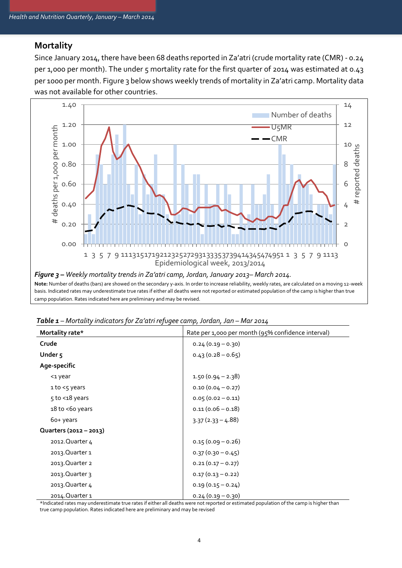#### **Mortality**

Since January 2014, there have been 68 deaths reported in Za'atri (crude mortality rate (CMR) - 0.24 per 1,000 per month). The under 5 mortality rate for the first quarter of 2014 was estimated at 0.43 per 1000 per month. Figure 3 below shows weekly trends of mortality in Za'atri camp. Mortality data was not available for other countries.



| Mortality rate*        | Rate per 1,000 per month (95% confidence interval) |
|------------------------|----------------------------------------------------|
| Crude                  | $0.24(0.19 - 0.30)$                                |
| Under <sub>5</sub>     | $0.43(0.28 - 0.65)$                                |
| Age-specific           |                                                    |
| <1 year                | $1.50(0.94 - 2.38)$                                |
| 1 to <5 years          | $0.10(0.04 - 0.27)$                                |
| $5$ to $<$ 18 years    | $0.05(0.02 - 0.11)$                                |
| 18 to <60 years        | $0.11(0.06 - 0.18)$                                |
| 60+ years              | $3.37(2.33 - 4.88)$                                |
| Quarters (2012 - 2013) |                                                    |
| 2012.Quarter 4         | $0.15(0.09 - 0.26)$                                |
| 2013. Quarter 1        | $0.37(0.30 - 0.45)$                                |
| 2013. Quarter 2        | $0.21(0.17 - 0.27)$                                |
| 2013. Quarter 3        | $0.17(0.13 - 0.22)$                                |
| 2013. Quarter 4        | $0.19(0.15 - 0.24)$                                |
| 2014.Quarter 1         | $0.24(0.19 - 0.30)$                                |

*Table 1 – Mortality indicators for Za'atri refugee camp, Jordan, Jan – Mar 2014*

\*Indicated rates may underestimate true rates if either all deaths were not reported or estimated population of the camp is higher than true camp population. Rates indicated here are preliminary and may be revised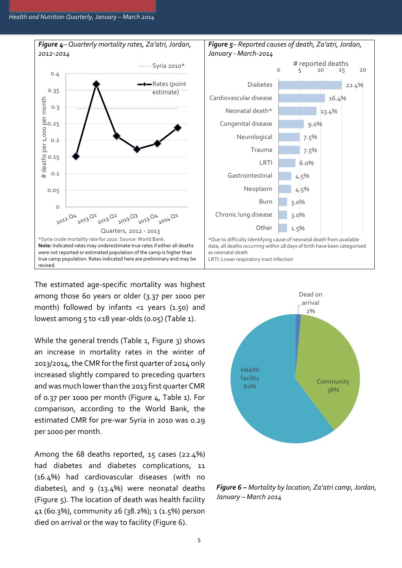

The estimated age-specific mortality was highest among those 60 years or older (3.37 per 1000 per month) followed by infants  $\leq 1$  years (1.50) and lowest among  $5$  to <18 year-olds (0.05) (Table 1).

While the general trends (Table 1, Figure 3) shows an increase in mortality rates in the winter of 2013/2014, the CMR for the first quarter of 2014 only increased slightly compared to preceding quarters and was much lower than the 2013 first quarter CMR of 0.37 per 1000 per month (Figure 4, Table 1). For comparison, according to the World Bank, the estimated CMR for pre-war Syria in 2010 was 0.29 per 1000 per month.

Among the 68 deaths reported, 15 cases (22.4%) had diabetes and diabetes complications, 11 (16.4%) had cardiovascular diseases (with no diabetes), and  $9$  (13.4%) were neonatal deaths (Figure 5). The location of death was health facility 41 (60.3%), community 26 (38.2%); 1 (1.5%) person died on arrival or the way to facility (Figure 6).



*Figure 6 – Mortality by location, Za'atri camp, Jordan, January – March 2014*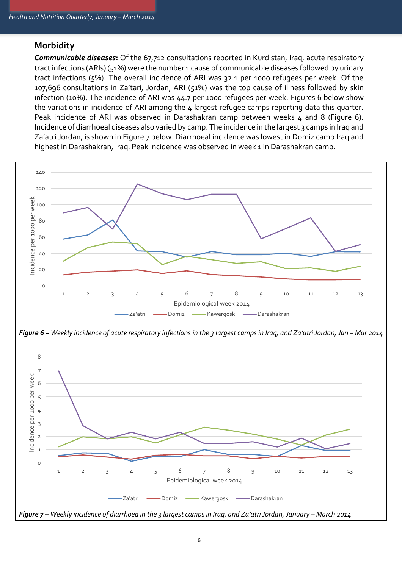#### **Morbidity**

*Communicable diseases***:** Of the 67,712 consultations reported in Kurdistan, Iraq, acute respiratory tract infections (ARIs) (51%) were the number 1 cause of communicable diseases followed by urinary tract infections (5%). The overall incidence of ARI was 32.1 per 1000 refugees per week. Of the 107,696 consultations in Za'tari, Jordan, ARI (51%) was the top cause of illness followed by skin infection (10%). The incidence of ARI was 44.7 per 1000 refugees per week. Figures 6 below show the variations in incidence of ARI among the 4 largest refugee camps reporting data this quarter. Peak incidence of ARI was observed in Darashakran camp between weeks 4 and 8 (Figure 6). Incidence of diarrhoeal diseases also varied by camp. The incidence in the largest 3 camps in Iraq and Za'atri Jordan, is shown in Figure 7 below. Diarrhoeal incidence was lowest in Domiz camp Iraq and highest in Darashakran, Iraq. Peak incidence was observed in week 1 in Darashakran camp.





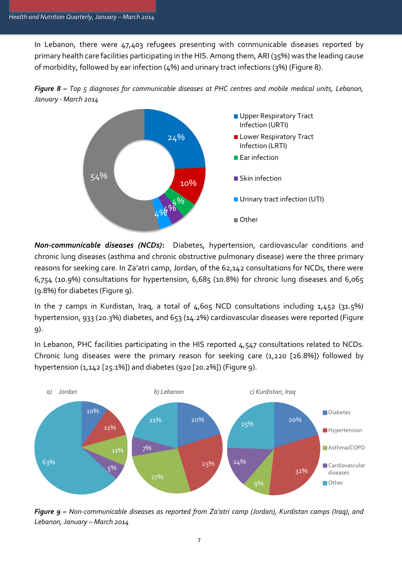In Lebanon, there were 47,403 refugees presenting with communicable diseases reported by primary health care facilities participating in the HIS. Among them, ARI (35%) was the leading cause of morbidity, followed by ear infection (4%) and urinary tract infections (3%) (Figure 8).





*Non-communicable diseases (NCDs)***:** Diabetes, hypertension, cardiovascular conditions and chronic lung diseases (asthma and chronic obstructive pulmonary disease) were the three primary reasons for seeking care. In Za'atri camp, Jordan, of the 62,142 consultations for NCDs, there were 6,754 (10.9%) consultations for hypertension, 6,685 (10.8%) for chronic lung diseases and 6,065 (9.8%) for diabetes (Figure 9).

In the 7 camps in Kurdistan, Iraq, a total of  $4,605$  NCD consultations including  $1,452$  (31.5%) hypertension, 933 (20.3%) diabetes, and 653 (14.2%) cardiovascular diseases were reported (Figure 9).

In Lebanon, PHC facilities participating in the HIS reported 4,547 consultations related to NCDs. Chronic lung diseases were the primary reason for seeking care (1,220 [26.8%]) followed by hypertension (1,142 [25.1%]) and diabetes (920 [20.2%]) (Figure 9).



*Figure 9 – Non-communicable diseases as reported from Za'atri camp (Jordan), Kurdistan camps (Iraq), and Lebanon, January – March 2014*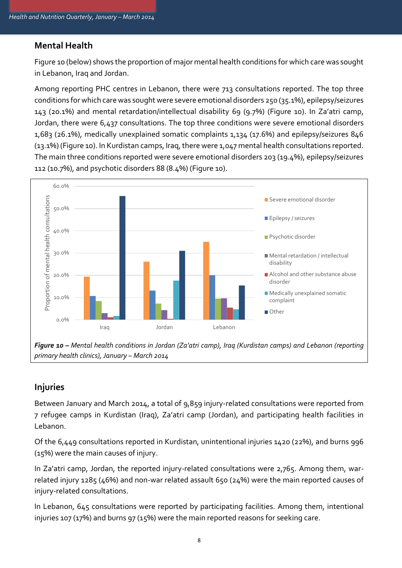## **Mental Health**

Figure 10 (below) shows the proportion of major mental health conditions for which care was sought in Lebanon, Iraq and Jordan.

Among reporting PHC centres in Lebanon, there were 713 consultations reported. The top three conditions for which care was sought were severe emotional disorders 250 (35.1%), epilepsy/seizures 143 (20.1%) and mental retardation/intellectual disability 69 (9.7%) (Figure 10). In Za'atri camp, Jordan, there were 6,437 consultations. The top three conditions were severe emotional disorders 1,683 (26.1%), medically unexplained somatic complaints 1,134 (17.6%) and epilepsy/seizures 846 (13.1%) (Figure 10). In Kurdistan camps, Iraq, there were 1,047 mental health consultations reported. The main three conditions reported were severe emotional disorders 203 (19.4%), epilepsy/seizures 112 (10.7%), and psychotic disorders 88 (8.4%) (Figure 10).



*Figure 10 – Mental health conditions in Jordan (Za'atri camp), Iraq (Kurdistan camps) and Lebanon (reporting primary health clinics), January – March 2014*

# **Injuries**

Between January and March 2014, a total of 9,859 injury-related consultations were reported from 7 refugee camps in Kurdistan (Iraq), Za'atri camp (Jordan), and participating health facilities in Lebanon.

Of the 6,449 consultations reported in Kurdistan, unintentional injuries 1420 (22%), and burns 996 (15%) were the main causes of injury.

In Za'atri camp, Jordan, the reported injury-related consultations were 2,765. Among them, warrelated injury 1285 (46%) and non-war related assault 650 (24%) were the main reported causes of injury-related consultations.

In Lebanon, 645 consultations were reported by participating facilities. Among them, intentional injuries 107 (17%) and burns 97 (15%) were the main reported reasons for seeking care.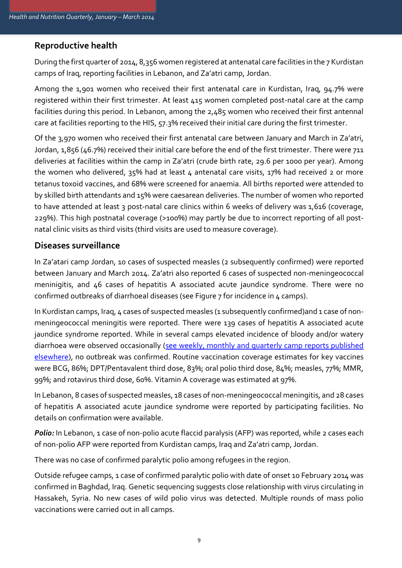### **Reproductive health**

During the first quarter of 2014, 8,356 women registered at antenatal care facilities in the 7 Kurdistan camps of Iraq, reporting facilities in Lebanon, and Za'atri camp, Jordan.

Among the 1,901 women who received their first antenatal care in Kurdistan, Iraq, 94.7% were registered within their first trimester. At least 415 women completed post-natal care at the camp facilities during this period. In Lebanon, among the 2,485 women who received their first antennal care at facilities reporting to the HIS, 57.3% received their initial care during the first trimester.

Of the 3,970 women who received their first antenatal care between January and March in Za'atri, Jordan, 1,856 (46.7%) received their initial care before the end of the first trimester. There were 711 deliveries at facilities within the camp in Za'atri (crude birth rate, 29.6 per 1000 per year). Among the women who delivered,  $35\%$  had at least 4 antenatal care visits,  $17\%$  had received 2 or more tetanus toxoid vaccines, and 68% were screened for anaemia. All births reported were attended to by skilled birth attendants and 15% were caesarean deliveries. The number of women who reported to have attended at least 3 post-natal care clinics within 6 weeks of delivery was 1,616 (coverage, 229%). This high postnatal coverage (>100%) may partly be due to incorrect reporting of all postnatal clinic visits as third visits (third visits are used to measure coverage).

#### **Diseases surveillance**

In Za'atari camp Jordan, 10 cases of suspected measles (2 subsequently confirmed) were reported between January and March 2014. Za'atri also reported 6 cases of suspected non-meningeococcal meninigitis, and 46 cases of hepatitis A associated acute jaundice syndrome. There were no confirmed outbreaks of diarrhoeal diseases (see Figure 7 for incidence in 4 camps).

In Kurdistan camps, Iraq, 4 cases of suspected measles (1 subsequently confirmed)and 1 case of nonmeningeococcal meningitis were reported. There were 139 cases of hepatitis A associated acute jaundice syndrome reported. While in several camps elevated incidence of bloody and/or watery diarrhoea were observed occasionally (see weekly, monthly and quarterly camp reports published [elsewhere\)](http://data.unhcr.org/syrianrefugees/country.php?id=103), no outbreak was confirmed. Routine vaccination coverage estimates for key vaccines were BCG, 86%; DPT/Pentavalent third dose, 83%; oral polio third dose, 84%; measles, 77%; MMR, 99%; and rotavirus third dose, 60%. Vitamin A coverage was estimated at 97%.

In Lebanon, 8 cases of suspected measles, 18 cases of non-meningeococcal meningitis, and 28 cases of hepatitis A associated acute jaundice syndrome were reported by participating facilities. No details on confirmation were available.

*Polio:* In Lebanon, 1 case of non-polio acute flaccid paralysis (AFP) was reported, while 2 cases each of non-polio AFP were reported from Kurdistan camps, Iraq and Za'atri camp, Jordan.

There was no case of confirmed paralytic polio among refugees in the region.

Outside refugee camps, 1 case of confirmed paralytic polio with date of onset 10 February 2014 was confirmed in Baghdad, Iraq. Genetic sequencing suggests close relationship with virus circulating in Hassakeh, Syria. No new cases of wild polio virus was detected. Multiple rounds of mass polio vaccinations were carried out in all camps.